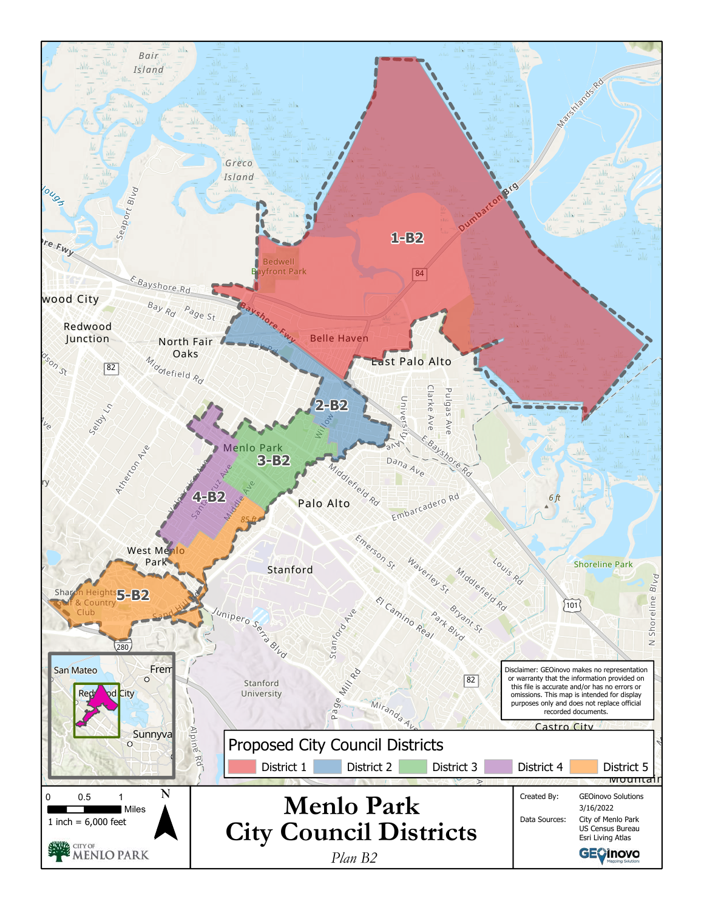